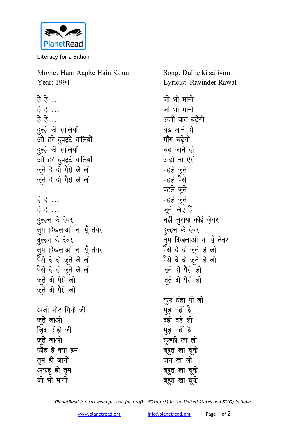

Literacy for a Billion

Movie: Hum Aapke Hain Koun Year: 1994

हे हे ... हे है ... हे हे ... दुल्हे की सालियों ओ हरे दुपट्टे वालियों दुल्हे की सालियों ओ हरे दुपटूटे वालियों जूते दे दो पैसे ले लो जूते दे दो पैसे ले लो हे हे ... हे है $\ldots$ दुल्हन के देवर तुम दिखलाओ ना यूँ तेवर दुल्हन के देवर तुम दिखलाओ ना यूँ तेवर पैसे दे दो जूते ले लो पैसे दे दो जूते ले लो जते दो पैसे लो जूते दो पैसे लो अजी नोट गिनो जी जते लाओ ज़िद छोड़ो जी जुते लाओ फ्रॉड है क्या हम तुम ही जानो अकडू हो तुम जो भी मानो

Song: Dulhe ki saliyon Lyricist: Ravinder Rawal

जो भी मानो जो भी मानो अजी बात बढेगी बढ जाने दो माँग चढेगी चढ जाने दो अडो ना ऐसे पहले जते पहले पैसे पहले जूते पहले जूते जूते लिए हैं नहीं चुराया कोई ज़ेवर दल्हन के देवर तुम दिखलाओ ना यूँ तेवर पैसे दे दो जूते ले लो पैसे दे दो जूते ले लो जूते दो पैसे लो जते दो पैसे लो कुछ ठंडा पी लो मुड़ नहीं है दही वडे लो मूड़ नहीं है कूल्फी खा लो बहुत खा चूके पान खा लो बहुत खा चुके बहुत खा चूके

PlanetRead is a tax-exempt, not-for-profit: 501(c) (3) in the United States and 80(G) in India.